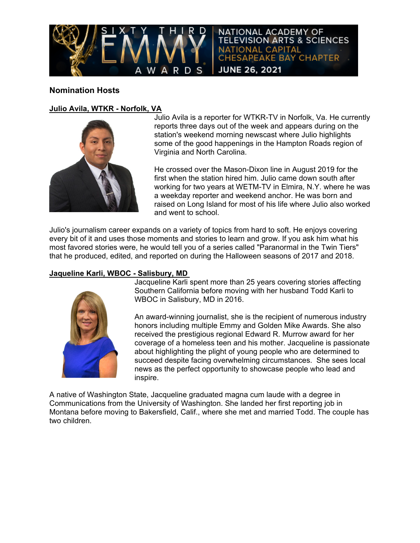

# **Nomination Hosts**

### **Julio Avila, WTKR - Norfolk, VA**



Julio Avila is a reporter for WTKR-TV in Norfolk, Va. He currently reports three days out of the week and appears during on the station's weekend morning newscast where Julio highlights some of the good happenings in the Hampton Roads region of Virginia and North Carolina.

He crossed over the Mason-Dixon line in August 2019 for the first when the station hired him. Julio came down south after working for two years at WETM-TV in Elmira, N.Y. where he was a weekday reporter and weekend anchor. He was born and raised on Long Island for most of his life where Julio also worked and went to school.

Julio's journalism career expands on a variety of topics from hard to soft. He enjoys covering every bit of it and uses those moments and stories to learn and grow. If you ask him what his most favored stories were, he would tell you of a series called "Paranormal in the Twin Tiers" that he produced, edited, and reported on during the Halloween seasons of 2017 and 2018.

### **Jaqueline Karli, WBOC - Salisbury, MD**



Jacqueline Karli spent more than 25 years covering stories affecting Southern California before moving with her husband Todd Karli to WBOC in Salisbury, MD in 2016.

An award-winning journalist, she is the recipient of numerous industry honors including multiple Emmy and Golden Mike Awards. She also received the prestigious regional Edward R. Murrow award for her coverage of a homeless teen and his mother. Jacqueline is passionate about highlighting the plight of young people who are determined to succeed despite facing overwhelming circumstances. She sees local news as the perfect opportunity to showcase people who lead and inspire.

A native of Washington State, Jacqueline graduated magna cum laude with a degree in Communications from the University of Washington. She landed her first reporting job in Montana before moving to Bakersfield, Calif., where she met and married Todd. The couple has two children.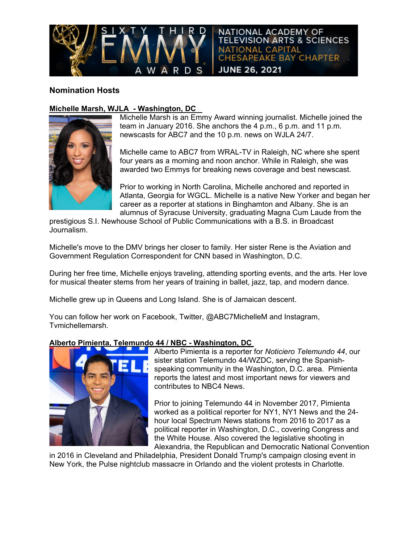

# **Nomination Hosts**

## **Michelle Marsh, WJLA - Washington, DC**



Michelle Marsh is an Emmy Award winning journalist. Michelle joined the team in January 2016. She anchors the 4 p.m., 6 p.m. and 11 p.m. newscasts for ABC7 and the 10 p.m. news on WJLA 24/7.

Michelle came to ABC7 from WRAL-TV in Raleigh, NC where she spent four years as a morning and noon anchor. While in Raleigh, she was awarded two Emmys for breaking news coverage and best newscast.

Prior to working in North Carolina, Michelle anchored and reported in Atlanta, Georgia for WGCL. Michelle is a native New Yorker and began her career as a reporter at stations in Binghamton and Albany. She is an alumnus of Syracuse University, graduating Magna Cum Laude from the

prestigious S.I. Newhouse School of Public Communications with a B.S. in Broadcast Journalism.

Michelle's move to the DMV brings her closer to family. Her sister Rene is the Aviation and Government Regulation Correspondent for CNN based in Washington, D.C.

During her free time, Michelle enjoys traveling, attending sporting events, and the arts. Her love for musical theater stems from her years of training in ballet, jazz, tap, and modern dance.

Michelle grew up in Queens and Long Island. She is of Jamaican descent.

You can follow her work on Facebook, Twitter, @ABC7MichelleM and Instagram, Tvmichellemarsh.

### **Alberto Pimienta, Telemundo 44 / NBC - Washington, DC**



Alberto Pimienta is a reporter for *Noticiero Telemundo 44*, our sister station Telemundo 44/WZDC, serving the Spanishspeaking community in the Washington, D.C. area. Pimienta reports the latest and most important news for viewers and contributes to NBC4 News.

Prior to joining Telemundo 44 in November 2017, Pimienta worked as a political reporter for NY1, NY1 News and the 24 hour local Spectrum News stations from 2016 to 2017 as a political reporter in Washington, D.C., covering Congress and the White House. Also covered the legislative shooting in Alexandria, the Republican and Democratic National Convention

in 2016 in Cleveland and Philadelphia, President Donald Trump's campaign closing event in New York, the Pulse nightclub massacre in Orlando and the violent protests in Charlotte.